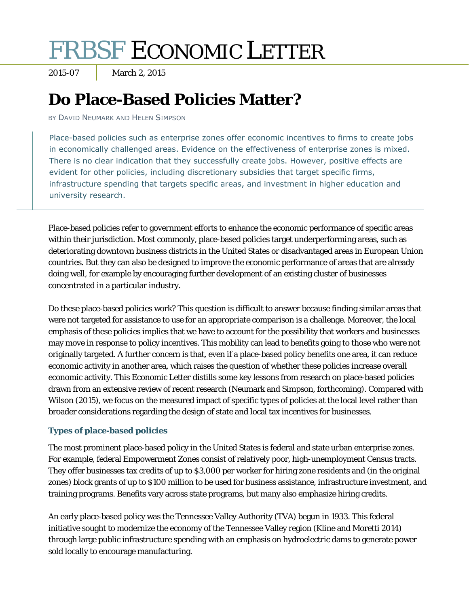# FRBSF ECONOMIC LETTER

2015-07 March 2, 2015

## **Do Place-Based Policies Matter?**

BY DAVID NEUMARK AND HELEN SIMPSON

Place-based policies such as enterprise zones offer economic incentives to firms to create jobs in economically challenged areas. Evidence on the effectiveness of enterprise zones is mixed. There is no clear indication that they successfully create jobs. However, positive effects are evident for other policies, including discretionary subsidies that target specific firms, infrastructure spending that targets specific areas, and investment in higher education and university research.

Place-based policies refer to government efforts to enhance the economic performance of specific areas within their jurisdiction. Most commonly, place-based policies target underperforming areas, such as deteriorating downtown business districts in the United States or disadvantaged areas in European Union countries. But they can also be designed to improve the economic performance of areas that are already doing well, for example by encouraging further development of an existing cluster of businesses concentrated in a particular industry.

Do these place-based policies work? This question is difficult to answer because finding similar areas that were not targeted for assistance to use for an appropriate comparison is a challenge. Moreover, the local emphasis of these policies implies that we have to account for the possibility that workers and businesses may move in response to policy incentives. This mobility can lead to benefits going to those who were not originally targeted. A further concern is that, even if a place-based policy benefits one area, it can reduce economic activity in another area, which raises the question of whether these policies increase overall economic activity. This *Economic Letter* distills some key lessons from research on place-based policies drawn from an extensive review of recent research (Neumark and Simpson, forthcoming). Compared with Wilson (2015), we focus on the measured impact of specific types of policies at the local level rather than broader considerations regarding the design of state and local tax incentives for businesses.

### **Types of place-based policies**

The most prominent place-based policy in the United States is federal and state urban enterprise zones. For example, federal Empowerment Zones consist of relatively poor, high-unemployment Census tracts. They offer businesses tax credits of up to \$3,000 per worker for hiring zone residents and (in the original zones) block grants of up to \$100 million to be used for business assistance, infrastructure investment, and training programs. Benefits vary across state programs, but many also emphasize hiring credits.

An early place-based policy was the Tennessee Valley Authority (TVA) begun in 1933. This federal initiative sought to modernize the economy of the Tennessee Valley region (Kline and Moretti 2014) through large public infrastructure spending with an emphasis on hydroelectric dams to generate power sold locally to encourage manufacturing.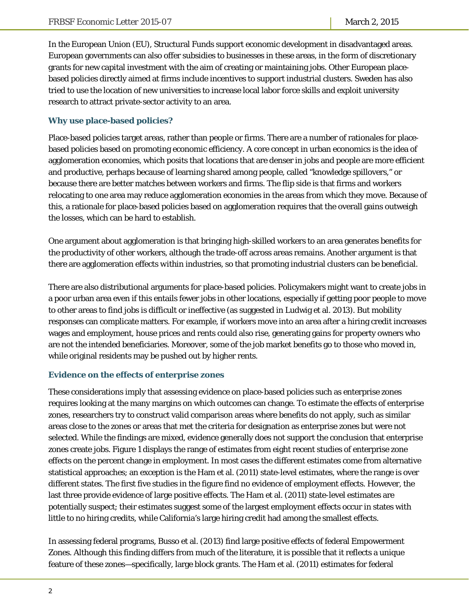In the European Union (EU), Structural Funds support economic development in disadvantaged areas. European governments can also offer subsidies to businesses in these areas, in the form of discretionary grants for new capital investment with the aim of creating or maintaining jobs. Other European placebased policies directly aimed at firms include incentives to support industrial clusters. Sweden has also tried to use the location of new universities to increase local labor force skills and exploit university research to attract private-sector activity to an area.

#### **Why use place-based policies?**

Place-based policies target areas, rather than people or firms. There are a number of rationales for placebased policies based on promoting economic efficiency. A core concept in urban economics is the idea of agglomeration economies, which posits that locations that are denser in jobs and people are more efficient and productive, perhaps because of learning shared among people, called "knowledge spillovers," or because there are better matches between workers and firms. The flip side is that firms and workers relocating to one area may reduce agglomeration economies in the areas from which they move. Because of this, a rationale for place-based policies based on agglomeration requires that the overall gains outweigh the losses, which can be hard to establish.

One argument about agglomeration is that bringing high-skilled workers to an area generates benefits for the productivity of other workers, although the trade-off across areas remains. Another argument is that there are agglomeration effects *within* industries, so that promoting industrial clusters can be beneficial.

There are also distributional arguments for place-based policies. Policymakers might want to create jobs in a poor urban area even if this entails fewer jobs in other locations, especially if getting poor people to move to other areas to find jobs is difficult or ineffective (as suggested in Ludwig et al. 2013). But mobility responses can complicate matters. For example, if workers move into an area after a hiring credit increases wages and employment, house prices and rents could also rise, generating gains for property owners who are not the intended beneficiaries. Moreover, some of the job market benefits go to those who moved in, while original residents may be pushed out by higher rents.

#### **Evidence on the effects of enterprise zones**

These considerations imply that assessing evidence on place-based policies such as enterprise zones requires looking at the many margins on which outcomes can change. To estimate the effects of enterprise zones, researchers try to construct valid comparison areas where benefits do not apply, such as similar areas close to the zones or areas that met the criteria for designation as enterprise zones but were not selected. While the findings are mixed, evidence generally does not support the conclusion that enterprise zones create jobs. Figure 1 displays the range of estimates from eight recent studies of enterprise zone effects on the percent change in employment. In most cases the different estimates come from alternative statistical approaches; an exception is the Ham et al. (2011) state-level estimates, where the range is over different states. The first five studies in the figure find no evidence of employment effects. However, the last three provide evidence of large positive effects. The Ham et al. (2011) state-level estimates are potentially suspect; their estimates suggest some of the largest employment effects occur in states with little to no hiring credits, while California's large hiring credit had among the smallest effects.

In assessing federal programs, Busso et al. (2013) find large positive effects of federal Empowerment Zones. Although this finding differs from much of the literature, it is possible that it reflects a unique feature of these zones—specifically, large block grants. The Ham et al. (2011) estimates for federal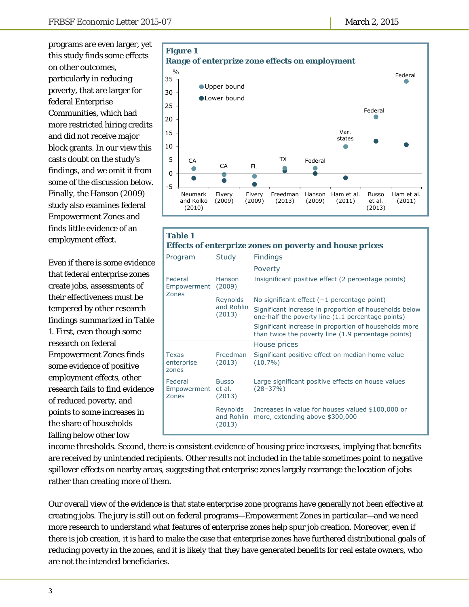programs are even larger, yet this study finds some effects on other outcomes, particularly in reducing poverty, that are larger for federal Enterprise Communities, which had more restricted hiring credits and did not receive major block grants. In our view this casts doubt on the study's findings, and we omit it from some of the discussion below. Finally, the Hanson (2009) study also examines federal Empowerment Zones and finds little evidence of an employment effect.

Even if there is some evidence that federal enterprise zones create jobs, assessments of their effectiveness must be tempered by other research findings summarized in Table 1. First, even though some research on federal Empowerment Zones finds some evidence of positive employment effects, other research fails to find evidence of reduced poverty, and points to some increases in the share of households falling below other low



| <b>Table 1</b><br><b>Effects of enterprize zones on poverty and house prices</b> |                                  |                                                                                                              |  |
|----------------------------------------------------------------------------------|----------------------------------|--------------------------------------------------------------------------------------------------------------|--|
| Program                                                                          | Study                            | <b>Findings</b>                                                                                              |  |
|                                                                                  |                                  | Poverty                                                                                                      |  |
| Federal<br>Empowerment (2009)<br>Zones                                           | Hanson                           | Insignificant positive effect (2 percentage points)                                                          |  |
|                                                                                  | Reynolds<br>and Rohlin<br>(2013) | No significant effect $(-1)$ percentage point)                                                               |  |
|                                                                                  |                                  | Significant increase in proportion of households below<br>one-half the poverty line (1.1 percentage points)  |  |
|                                                                                  |                                  | Significant increase in proportion of households more<br>than twice the poverty line (1.9 percentage points) |  |
|                                                                                  |                                  | House prices                                                                                                 |  |
| Texas<br>enterprise<br>zones                                                     | Freedman<br>(2013)               | Significant positive effect on median home value<br>$(10.7\%)$                                               |  |
| Federal<br>Empowerment et al.<br>Zones                                           | <b>Busso</b><br>(2013)           | Large significant positive effects on house values<br>$(28 - 37%)$                                           |  |
|                                                                                  | Reynolds<br>(2013)               | Increases in value for houses valued \$100,000 or<br>and Rohlin more, extending above \$300,000              |  |

income thresholds. Second, there is consistent evidence of housing price increases, implying that benefits are received by unintended recipients. Other results not included in the table sometimes point to negative spillover effects on nearby areas, suggesting that enterprise zones largely rearrange the location of jobs rather than creating more of them.

Our overall view of the evidence is that state enterprise zone programs have generally not been effective at creating jobs. The jury is still out on federal programs—Empowerment Zones in particular—and we need more research to understand what features of enterprise zones help spur job creation. Moreover, even if there is job creation, it is hard to make the case that enterprise zones have furthered distributional goals of reducing poverty in the zones, and it is likely that they have generated benefits for real estate owners, who are not the intended beneficiaries.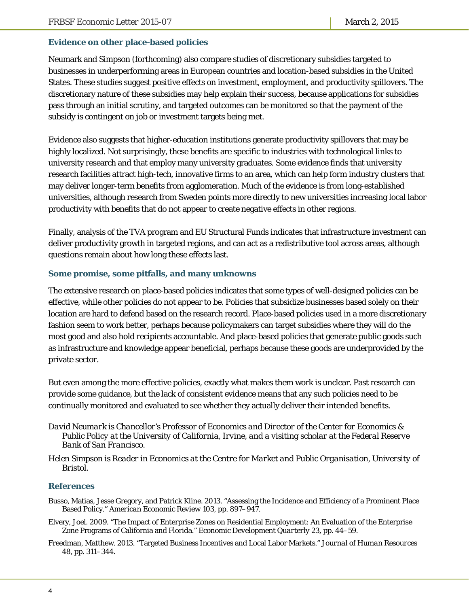#### **Evidence on other place-based policies**

Neumark and Simpson (forthcoming) also compare studies of discretionary subsidies targeted to businesses in underperforming areas in European countries and location-based subsidies in the United States. These studies suggest positive effects on investment, employment, and productivity spillovers. The discretionary nature of these subsidies may help explain their success, because applications for subsidies pass through an initial scrutiny, and targeted outcomes can be monitored so that the payment of the subsidy is contingent on job or investment targets being met.

Evidence also suggests that higher-education institutions generate productivity spillovers that may be highly localized. Not surprisingly, these benefits are specific to industries with technological links to university research and that employ many university graduates. Some evidence finds that university research facilities attract high-tech, innovative firms to an area, which can help form industry clusters that may deliver longer-term benefits from agglomeration. Much of the evidence is from long-established universities, although research from Sweden points more directly to new universities increasing local labor productivity with benefits that do not appear to create negative effects in other regions.

Finally, analysis of the TVA program and EU Structural Funds indicates that infrastructure investment can deliver productivity growth in targeted regions, and can act as a redistributive tool across areas, although questions remain about how long these effects last.

#### **Some promise, some pitfalls, and many unknowns**

The extensive research on place-based policies indicates that some types of well-designed policies can be effective, while other policies do not appear to be. Policies that subsidize businesses based solely on their location are hard to defend based on the research record. Place-based policies used in a more discretionary fashion seem to work better, perhaps because policymakers can target subsidies where they will do the most good and also hold recipients accountable. And place-based policies that generate public goods such as infrastructure and knowledge appear beneficial, perhaps because these goods are underprovided by the private sector.

But even among the more effective policies, exactly what makes them work is unclear. Past research can provide some guidance, but the lack of consistent evidence means that any such policies need to be continually monitored and evaluated to see whether they actually deliver their intended benefits.

- *David Neumark is Chancellor's Professor of Economics and Director of the Center for Economics & Public Policy at the University of California, Irvine, and a visiting scholar at the Federal Reserve Bank of San Francisco.*
- *Helen Simpson is Reader in Economics at the Centre for Market and Public Organisation, University of Bristol.*

#### **References**

- Busso, Matias, Jesse Gregory, and Patrick Kline. 2013. "Assessing the Incidence and Efficiency of a Prominent Place Based Policy." *American Economic Review* 103, pp. 897–947.
- Elvery, Joel. 2009. "The Impact of Enterprise Zones on Residential Employment: An Evaluation of the Enterprise Zone Programs of California and Florida." *Economic Development Quarterly* 23, pp. 44–59.
- Freedman, Matthew. 2013. "Targeted Business Incentives and Local Labor Markets." *Journal of Human Resources* 48, pp. 311–344.